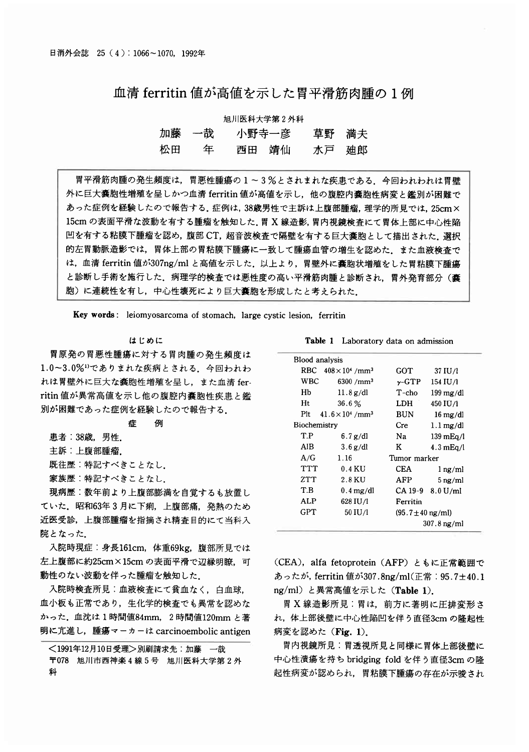# 血清 ferritin 値が高値を示した胃平滑筋肉腫の1例

### 旭川医科大学第2外科

|    | 加藤 一哉 | 小野寺一彦 | 草野 満夫 |  |
|----|-------|-------|-------|--|
| 松田 | 年     | 西田 靖仙 | 水戸 廸郎 |  |

胃平滑筋肉腫の発生頻度は,胃悪性腫瘍の1~3%とされまれな疾患である.今回われわれは胃壁 外に巨大嚢胞性増殖を呈しかつ血清 ferritin 値が高値を示し、他の腹腔内嚢胞性病変と鑑別が困難で あった症例を経験したので報告する. 症例は, 38歳男性で主訴は上腹部腫瘤, 理学的所見では, 25cm× 15cm の表面平滑な波動を有する腫瘤を触知した。胃 X 線造影, 胃内視鏡検査にて胃体上部に中心性陥 凹を有する粘膜下腫瘤を認め,腹部 CT, 超音波検査で隔壁を有する巨大囊胞として描出された. 選択 的左胃動脈造影では、胃体上部の胃粘膜下腫瘍に一致して腫瘍血管の増生を認めた。また血液検査で は、血清 ferritin 値が307ng/ml と高値を示した。以上より、胃壁外に嚢胞状増殖をした胃粘膜下腫瘍 と診断し手術を施行した.病理学的検査では悪性度の高い平滑筋肉腫と診断され,胃外発育部分(囊 胞)に連続性を有し、中心性壊死により巨大嚢胞を形成したと考えられた。

Key words: leiomyosarcoma of stomach, large cystic lesion, ferritin

#### はじめに

胃原発の胃悪性腫瘍に対する胃肉腫の発生頻度は 1.0~3.0%<sup>1</sup>でありまれな疾病とされる。今回われわ れは胃壁外に巨大な嚢胞性増殖を呈し、また血清 ferritin 値が異常高値を示し他の腹腔内囊胞性疾患と鑑 別が困難であった症例を経験したので報告する。

**South** 

患者: 38歳, 男性.

主訴:上腹部腫瘤.

既往歴:特記すべきことなし.

家族歴:特記すべきことなし.

現病歴:数年前より上腹部膨満を自覚するも放置し ていた、昭和63年3月に下痢、上腹部痛、発熱のため 近医受診、上腹部腫瘤を指摘され精査目的にて当科入 院となった。

入院時現症:身長161cm, 体重69kg, 腹部所見では 左上腹部に約25cm×15cmの表面平滑で辺縁明瞭. 可 動性のない波動を伴った腫瘤を触知した。

入院時検査所見:血液検査にて貧血なく, 白血球, 血小板も正常であり、生化学的検査でも異常を認めた かった. 血沈は1時間値84mm, 2時間値120mm と著 明に亢進し、腫瘍マーカーは carcinoembolic antigen

```
<1991年12月10日受理>別刷請求先:加藤 一哉
〒078 旭川市西神楽4線5号 旭川医科大学第2外
科
```

|  | <b>Table 1</b> Laboratory data on admission |  |  |
|--|---------------------------------------------|--|--|
|--|---------------------------------------------|--|--|

|                                         | Blood analysis |                                        |                               |                        |  |
|-----------------------------------------|----------------|----------------------------------------|-------------------------------|------------------------|--|
|                                         |                | RBC $408 \times 10^4$ /mm <sup>3</sup> | GOT                           | 37 IU/1                |  |
|                                         | WBC            | 6300 / mm <sup>3</sup>                 | $\gamma$ -GTP                 | 154 IU/1               |  |
|                                         | Hb             | $11.8$ g/dl                            | $T$ -cho                      | $199 \,\mathrm{mg/dl}$ |  |
|                                         | Ht             | 36.6%                                  | LDH                           | 450 IU/1               |  |
| Plt $41.6 \times 10^4$ /mm <sup>3</sup> |                |                                        | <b>BUN</b>                    | $16 \text{ mg/dl}$     |  |
| Biochemistry                            |                |                                        | Cre                           | $1.1 \,\mathrm{mg/dl}$ |  |
|                                         | T.P            | $6.7$ g/dl                             | Na                            | $139 \text{ mEq/l}$    |  |
|                                         | AIB            | $3.6$ g/dl                             | Κ                             | $4.3 \text{ mEq/l}$    |  |
|                                         | A/G<br>1.16    |                                        | Tumor marker                  |                        |  |
|                                         | ፐፐፐ            | 0.4 KU                                 | CEA                           | $1 \,\mathrm{ng/ml}$   |  |
|                                         | ZTT            | 2.8 KU                                 | AFP                           | $5 \,\mathrm{ng/ml}$   |  |
|                                         | T.B            | $0.4 \,\mathrm{mg/dl}$                 |                               | $CA$ 19-9 $8.0$ U/ml   |  |
|                                         | ALP            | 628 IU/l                               | Ferritin                      |                        |  |
|                                         | GPT            | 50 IU/1                                | $(95.7 \pm 40 \text{ ng/ml})$ |                        |  |
|                                         |                |                                        | 307.8 ng/ml                   |                        |  |
|                                         |                |                                        |                               |                        |  |

(CEA), alfa fetoprotein (AFP) ともに正常範囲で あったが, ferritin 値が307.8ng/ml(正常: 95.7±40.1 ng/ml) と異常高値を示した (Table 1).

胃 X 線造影所見:胃は、前方に著明に圧排変形さ れ, 体上部後壁に中心性陥凹を伴う直径3cm の隆起性 病変を認めた (Fig. 1).

胃内視鏡所見:胃透視所見と同様に胃体上部後壁に 中心性潰瘍を持ち bridging fold を伴う直径3cm の降 起性病変が認められ、胃粘膜下腫瘍の存在が示唆され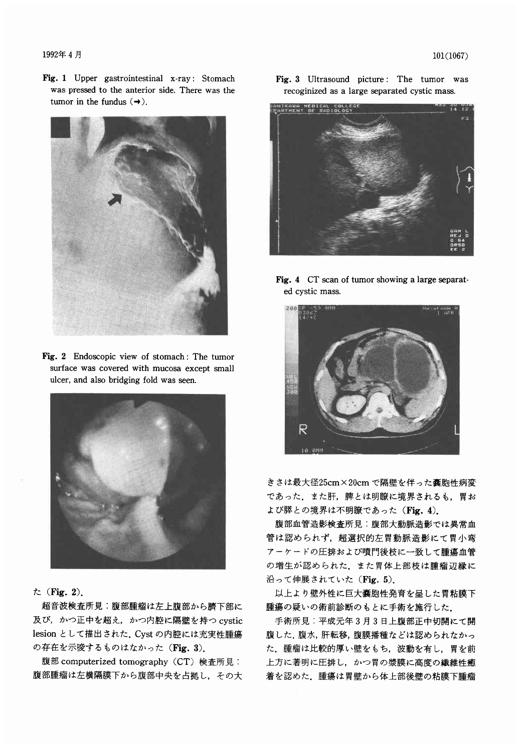#### 1992年4月

Fig. 1 Upper gastrointestinal x-ray: Stomach was pressed to the anterior side. There was the tumor in the fundus  $(\rightarrow)$ .



Fig. 2 Endoscopic view of stomach: The tumor surface was covered with mucosa except small ulcer, and also bridging fold was seen.



## $\hbar$  (Fig. 2).

超音波検査所見:腹部腫瘤は左上腹部から臍下部に 及び、かつ正中を超え、かつ内腔に隔壁を持つ cystic lesion として描出された、Cyst の内腔には充実性腫瘍 の存在を示唆するものはなかった (Fig. 3).

腹部 computerized tomography (CT) 検査所見: 腹部腫瘤は左横隔膜下から腹部中央を占拠し、その大 Fig. 3 Ultrasound picture: The tumor was recoginized as a large separated cystic mass



Fig. 4 CT scan of tumor showing a large separated cystic mass.



きさは最大径25cm×20cmで隔壁を伴った囊胞性病変 であった、また肝、脾とは明瞭に境界されるも、胃お よび膵との境界は不明瞭であった (Fig. 4).

腹部血管造影検査所見:腹部大動脈造影では異常血 管は認められず、超選択的左胃動脈造影にて胃小弯 アーケードの圧排および噴門後枝に一致して腫瘍血管 の増生が認められた、また胃体上部枝は腫瘤辺縁に 沿って伸展されていた (Fig. 5).

以上より壁外性に巨大嚢胞性発育を呈した胃粘膜下 腫瘍の疑いの術前診断のもとに手術を施行した。

手術所見:平成元年3月3日上腹部正中切開にて開 腹した、腹水,肝転移,腹膜播種などは認められなかっ た、腫瘤は比較的厚い壁をもち、波動を有し、胃を前 上方に著明に圧排し、かつ胃の漿膜に高度の繊維性癒 着を認めた、腫瘍は胃壁から体上部後壁の粘膜下腫瘤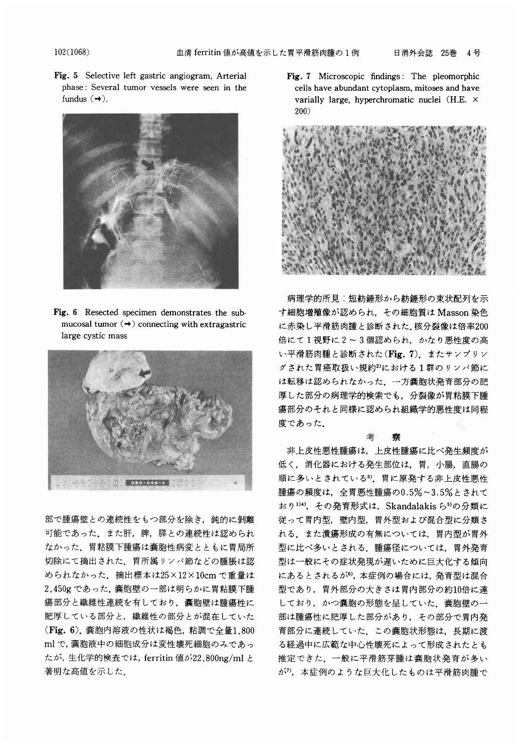102(1068)

Fig. 5 Selective left gastric angiogram, Arterial phase: Several tumor vessels were seen in the fundus  $(\rightarrow)$ .



Fig. 6 Resected specimen demonstrates the submucosal tumor  $\left(\rightarrow\right)$  connecting with extragastric large cystic mass



部で腫瘍壁との連続性をもつ部分を除き、鈍的に剝離 可能であった。また肝、脾、膵との連続性は認められ なかった、胃粘膜下腫瘍は嚢胞性病変とともに胃局所 切除にて摘出された、胃所属リンパ節などの腫脹は認 められなかった、摘出標本は25×12×10cmで重量は 2,450g であった. 囊胞壁の一部は明らかに胃粘膜下腫 瘍部分と繊維性連続を有しており、嚢胞壁は腫瘍性に 肥厚している部分と、繊維性の部分とが混在していた (Fig. 6). 囊胞内溶液の性状は褐色, 粘調で全量1,800 ml で, 囊胞液中の細胞成分は変性壊死細胞のみであっ たが,生化学的検査では, ferritin 値が22,800ng/ml と 著明な高値を示した.

Fig. 7 Microscopic findings: The pleomorphic cells have abundant cytoplasm, mitoses and have varially large, hyperchromatic nuclei (H.E. x 200 )



病理学的所見:短紡錘形から紡錘形の束状配列を示 す細胞増殖像が認められ、その細胞質は Masson 染色 に赤染し平滑筋肉腫と診断された. 核分裂像は倍率200 倍にて1視野に2~3個認められ、かなり悪性度の高 い平滑筋肉腫と診断された(Fig. 7). またサンプリン グされた胃癌取扱い規約2)における1群のリンパ節に は転移は認められなかった、一方嚢胞状発育部分の肥 厚した部分の病理学的検索でも、分裂像が胃粘膜下腫 瘍部分のそれと同様に認められ組織学的悪性度は同程 度であった.

#### 客

老

非上皮性悪性腫瘍は、上皮性腫瘍に比べ発生頻度が 低く、消化器における発生部位は、胃、小腸、直腸の 順に多いとされている3). 胃に原発する非上皮性悪性 腫瘍の頻度は、全胃悪性腫瘍の0.5%~3.5%とされて おり1)4), その発育形式は、Skandalakisら5)の分類に 従って胃内型,壁内型,胃外型および混合型に分類さ れる。また潰瘍形成の有無については、胃内型が胃外 型に比べ多いとされる。腫瘍径については、胃外発育 型は一般にその症状発現が遅いために巨大化する傾向 にあるとされるが6), 本症例の場合には、発育型は混合 型であり、胃外部分の大きさは胃内部分の約10倍に達 しており、かつ嚢胞の形態を呈していた。嚢胞壁の一 部は腫瘍性に肥厚した部分があり、その部分で胃内発 育部分に連続していた。この嚢胞状形態は、長期に渡 る経過中に広範な中心性壊死によって形成されたとも 推定できた、一般に平滑筋芽腫は囊胞状発育が多い が<sup>7</sup>, 本症例のような巨大化したものは平滑筋肉腫で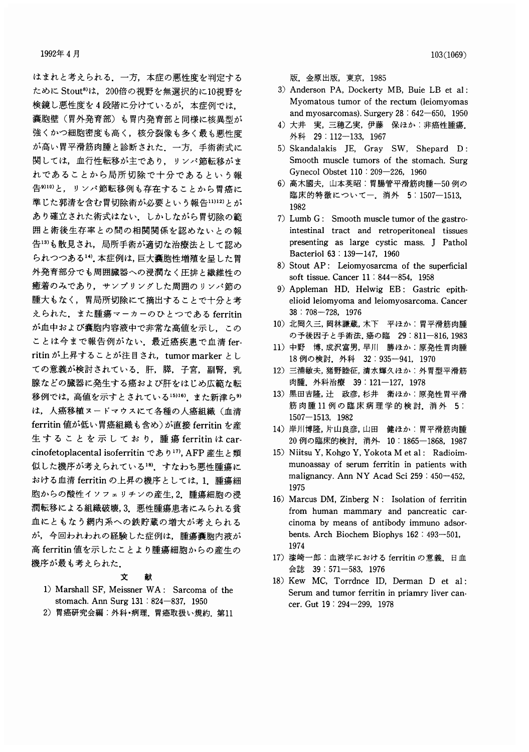はまれと考えられる、一方、本症の悪性度を判定する ために Stout<sup>8)</sup>は、200倍の視野を無選択的に10視野を 検鏡し悪性度を4段階に分けているが、本症例では、 囊胞壁(胃外発育部)も胃内発育部と同様に核異型が 強くかつ細胞密度も高く、核分裂像も多く最も悪性度 が高い胃平滑筋肉腫と診断された。一方、手術術式に 関しては、血行性転移が主であり、リンパ節転移がま れであることから局所切除で十分であるという報 告910)と、リンパ節転移例も存在することから胃癌に 準じた郭清を含む胃切除術が必要という報告11)12)とが あり確立された術式はない。しかしながら胃切除の範 囲と術後生存率との間の相関関係を認めないとの報 告13)も散見され、局所手術が適切な治療法として認め られつつある14). 本症例は、巨大囊胞性増殖を呈した胃 外発育部分でも周囲臓器への浸潤なく圧排と繊維性の 癒着のみであり、サンプリングした周囲のリンパ節の 腫大もなく、胃局所切除にて摘出することで十分と考 えられた。また腫瘍マーカーのひとつである ferritin が血中および囊胞内容液中で非常な高値を示し、この ことは今まで報告例がない、最近癌疾患で血清 ferritin が上昇することが注目され、tumor marker とし ての意義が検討されている。肝、膵、子宮、副腎、乳 腺などの臓器に発生する癌および肝をはじめ広範な転 移例では、高値を示すとされている15)16) また新津ら9) は、人癌移植ヌードマウスにて各種の人癌組織(血清 ferritin 値が低い胃癌組織も含め)が直接 ferritin を産 生することを示しており, 腫瘍 ferritinはcarcinofetoplacental isoferritin であり17), AFP 産生と類 似した機序が考えられている18)。すなわち悪性腫瘍に おける血清 ferritin の上昇の機序としては、1. 腫瘍細 胞からの酸性イソフェリチンの産生,2. 腫瘍細胞の浸 潤転移による組織破壊, 3. 悪性腫瘍患者にみられる貧 血にともなう網内系への鉄貯蔵の増大が考えられる が、今回われわれの経験した症例は、腫瘍嚢胞内液が 高 ferritin 値を示したことより腫瘍細胞からの産生の 機序が最も考えられた.

#### 文 献

- 1) Marshall SF, Meissner WA: Sarcoma of the stomach. Ann Surg 131 : 824-837, 1950
- 2) 胃癌研究会編:外科·病理. 胃癌取扱い規約. 第11

版. 金原出版, 東京, 1985

- 3) Anderson PA, Dockerty MB, Buie LB et al: Myomatous tumor of the rectum (leiomyomas and myosarcomas). Surgery  $28 : 642 - 650, 1950$
- 4) 大井 実, 三穂乙実, 伊藤 保ほか: 非癌性腫瘍. 外科 29 112-133, 1967
- 5) Skandalakis JE, Gray SW, Shepard D: Smooth muscle tumors of the stomach. Surg Gynecol Obstet 110: 209-226, 1960
- 6) 高木國夫, 山本英昭:胃腸管平滑筋肉腫一50例の 臨床的特徴についてー. 消外 5:1507-1513, 1982
- 7) Lumb G: Smooth muscle tumor of the gastrointestinal tract and retroperitoneal tissues presenting as large cystic mass. J Pathol Bacteriol 63:139-147, 1960
- 8) Stout AP: Leiomyosarcma of the superficial soft tissue. Cancer 11 : 844-854, 1958
- 9) Appleman HD, Helwig EB: Gastric epithelioid leiomyoma and leiomyosarcoma. Cancer  $38:708 - 728, 1976$
- 10) 北岡久三, 岡林謙蔵, 木下 平ほか:胃平滑筋肉腫 の予後因子と手術法.癌の臨 29:811-816,1983
- 11) 中野 博, 成沢富男, 早川 勝ほか:原発性胃肉腫 18例の検討. 外科 32:935-941, 1970
- 12) 三浦敏夫,猪野睦征,清水輝久ほか:外胃型平滑筋 肉腫. 外科治療 39:121-127, 1978
- 13) 黒田吉隆, 辻 政彦, 杉井 衛ほか:原発性胃平滑 筋肉腫11例の臨床病理学的検討. 消外 5:  $1507 - 1513$ , 1982
- 14) 岸川博隆, 片山良彦, 山田 健ほか:胃平滑筋肉腫 20 例の臨床的検討. 消外 10:1865-1868, 1987
- 15) Niitsu Y, Kohgo Y, Yokota M et al: Radioimmunoassay of serum ferritin in patients with malignancy. Ann NY Acad Sci 259 : 450-452, 1975
- 16) Marcus DM, Zinberg N: Isolation of ferritin from human mammary and pancreatic carcinoma by means of antibody immuno adsorbents. Arch Biochem Biophys 162 : 493-501, 1974
- 17) 漆崎一郎: 血液学における ferritin の意義. 日血 会誌 39:571-583, 1976
- 18) Kew MC, Torrdnce ID, Derman D et al: Serum and tumor ferritin in priamry liver cancer. Gut 19: 294-299, 1978